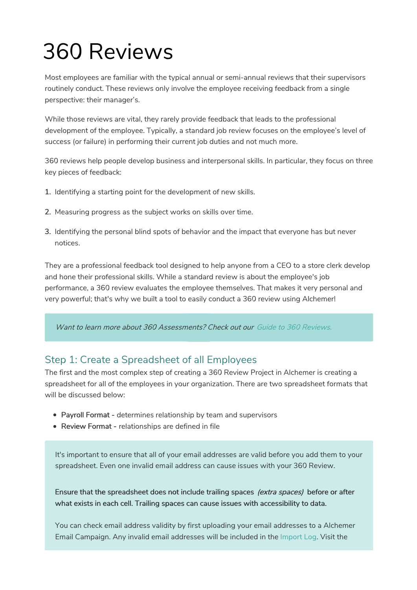# 360 Reviews

Most employees are familiar with the typical annual or semi-annual reviews that their supervisors routinely conduct. These reviews only involve the employee receiving feedback from a single perspective: their manager's.

While those reviews are vital, they rarely provide feedback that leads to the professional development of the employee. Typically, a standard job review focuses on the employee's level of success (or failure) in performing their current job duties and not much more.

360 reviews help people develop business and interpersonal skills. In particular, they focus on three key pieces of feedback:

- 1. Identifying a starting point for the development of new skills.
- 2. Measuring progress as the subject works on skills over time.
- 3. Identifying the personal blind spots of behavior and the impact that everyone has but never notices.

They are a professional feedback tool designed to help anyone from a CEO to a store clerk develop and hone their professional skills. While a standard review is about the employee's job performance, a 360 review evaluates the employee themselves. That makes it very personal and very powerful; that's why we built a tool to easily conduct a 360 review using Alchemer!

Want to learn more about 360 Assessments? Check out our Guide to 360 Reviews.

# Step 1: Create a Spreadsheet of all Employees

The first and the most complex step of creating a 360 Review Project in Alchemer is creating a spreadsheet for all of the employees in your organization. There are two spreadsheet formats that will be discussed below:

- Payroll Format determines relationship by team and supervisors
- Review Format relationships are defined in file

It's important to ensure that all of your email addresses are valid before you add them to your spreadsheet. Even one invalid email address can cause issues with your 360 Review.

Ensure that the spreadsheet does not include trailing spaces (extra spaces) before or after what exists in each cell. Trailing spaces can cause issues with accessibility to data.

You can check email address validity by first uploading your email addresses to a Alchemer Email Campaign. Any invalid email addresses will be included in the Import Log. Visit the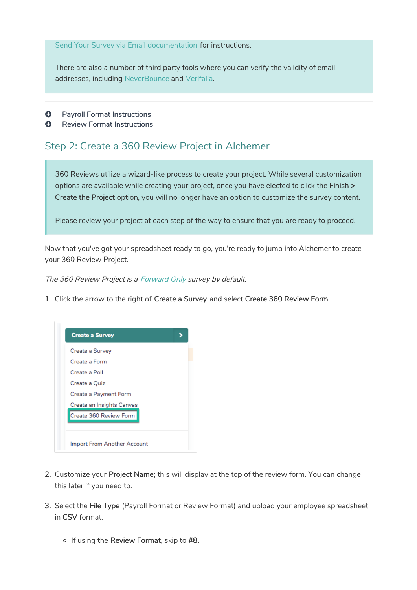Send Your Survey via Email documentation for instructions.

There are also a number of third party tools where you can verify the validity of email addresses, including NeverBounce and Verifalia.

- **Q** Payroll Format Instructions
- **C** Review Format Instructions

# Step 2: Create a 360 Review Project in Alchemer

360 Reviews utilize a wizard-like process to create your project. While several customization options are available while creating your project, once you have elected to click the Finish > Create the Project option, you will no longer have an option to customize the survey content.

Please review your project at each step of the way to ensure that you are ready to proceed.

Now that you've got your spreadsheet ready to go, you're ready to jump into Alchemer to create your 360 Review Project.

The 360 Review Project is <sup>a</sup> Forward Only survey by default.

1. Click the arrow to the right of Create a Survey and select Create 360 Review Form.



- 2. Customize your Project Name; this will display at the top of the review form. You can change this later if you need to.
- 3. Select the File Type (Payroll Format or Review Format) and upload your employee spreadsheet in CSV format.
	- $\circ$  If using the Review Format, skip to #8.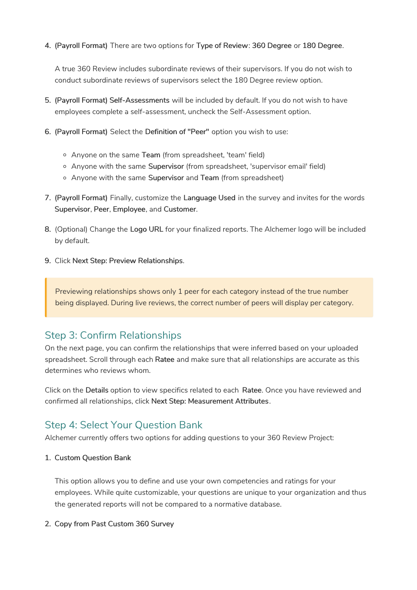4. (Payroll Format) There are two options for Type of Review: 360 Degree or 180 Degree.

A true 360 Review includes subordinate reviews of their supervisors. If you do not wish to conduct subordinate reviews of supervisors select the 180 Degree review option.

- 5. (Payroll Format) Self-Assessments will be included by default. If you do not wish to have employees complete a self-assessment, uncheck the Self-Assessment option.
- 6. (Payroll Format) Select the Definition of "Peer" option you wish to use:
	- Anyone on the same Team (from spreadsheet, 'team' field)
	- Anyone with the same Supervisor (from spreadsheet, 'supervisor email' field)
	- Anyone with the same Supervisor and Team (from spreadsheet)
- 7. (Payroll Format) Finally, customize the Language Used in the survey and invites for the words Supervisor, Peer, Employee, and Customer.
- 8. (Optional) Change the Logo URL for your finalized reports. The Alchemer logo will be included by default.
- 9. Click Next Step: Preview Relationships.

Previewing relationships shows only 1 peer for each category instead of the true number being displayed. During live reviews, the correct number of peers will display per category.

# Step 3: Confirm Relationships

On the next page, you can confirm the relationships that were inferred based on your uploaded spreadsheet. Scroll through each Ratee and make sure that all relationships are accurate as this determines who reviews whom.

Click on the Details option to view specifics related to each Ratee. Once you have reviewed and confirmed all relationships, click Next Step: Measurement Attributes.

# Step 4: Select Your Question Bank

Alchemer currently offers two options for adding questions to your 360 Review Project:

## 1. Custom Question Bank

This option allows you to define and use your own competencies and ratings for your employees. While quite customizable, your questions are unique to your organization and thus the generated reports will not be compared to a normative database.

## 2. Copy from Past Custom 360 Survey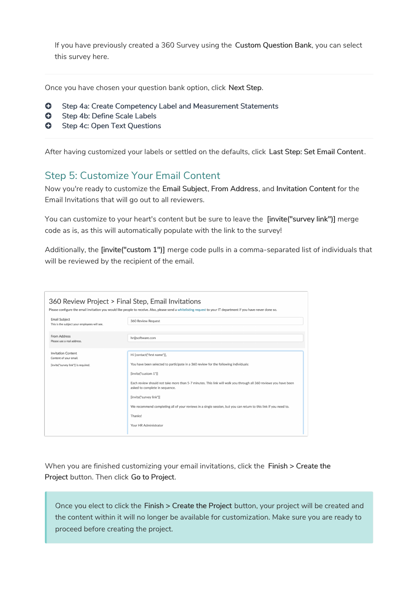If you have previously created a 360 Survey using the Custom Question Bank, you can select this survey here.

Once you have chosen your question bank option, click Next Step.

- **G** Step 4a: Create Competency Label and Measurement Statements
- **G** Step 4b: Define Scale Labels
- **G** Step 4c: Open Text Questions

After having customized your labels or settled on the defaults, click Last Step: Set Email Content.

# Step 5: Customize Your Email Content

Now you're ready to customize the Email Subject, From Address, and Invitation Content for the Email Invitations that will go out to all reviewers.

You can customize to your heart's content but be sure to leave the [invite("survey link")] merge code as is, as this will automatically populate with the link to the survey!

Additionally, the [invite("custom 1")] merge code pulls in a comma-separated list of individuals that will be reviewed by the recipient of the email.

| 360 Review Project > Final Step, Email Invitations                   | Please configure the email invitation you would like people to receive. Also, please send a whitelisting request to your IT department if you have never done so. |
|----------------------------------------------------------------------|-------------------------------------------------------------------------------------------------------------------------------------------------------------------|
| <b>Email Subject</b><br>This is the subject your employees will see. | 360 Review Request                                                                                                                                                |
| From Address<br>Please use a real address.                           | hr@software.com                                                                                                                                                   |
| <b>Invitation Content</b><br>Content of your email.                  | Hi [contact("first name")],                                                                                                                                       |
| [invite("survey link")] is required.                                 | You have been selected to participate in a 360 review for the following individuals:                                                                              |
|                                                                      | [invite("custom 1")]                                                                                                                                              |
|                                                                      | Each review should not take more than 5-7 minutes. This link will walk you through all 360 reviews you have been<br>asked to complete in sequence.                |
|                                                                      | [invite("survey link")]                                                                                                                                           |
|                                                                      | We recommend completing all of your reviews in a single session, but you can return to this link if you need to.                                                  |
|                                                                      | Thanks!                                                                                                                                                           |
|                                                                      | Your HR Administrator                                                                                                                                             |

When you are finished customizing your email invitations, click the Finish > Create the Project button. Then click Go to Project.

Once you elect to click the Finish > Create the Project button, your project will be created and the content within it will no longer be available for customization. Make sure you are ready to proceed before creating the project.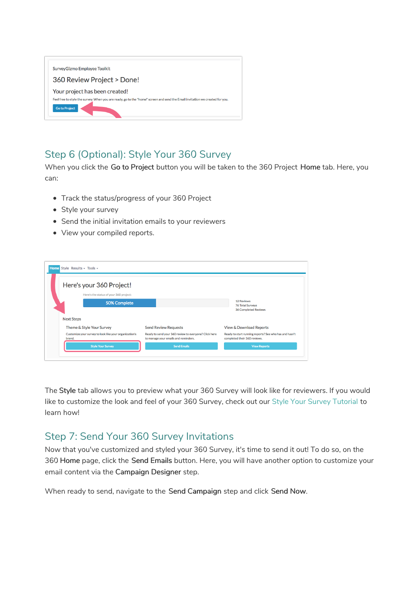| SurveyGizmo Employee Toolkit                                                                                                                         |  |
|------------------------------------------------------------------------------------------------------------------------------------------------------|--|
| 360 Review Project > Done!                                                                                                                           |  |
| Your project has been created!                                                                                                                       |  |
| Feel free to style the survey. When you are ready, go to the "home" screen and send the Email invitation we created for you.<br><b>Go to Project</b> |  |

# Step 6 (Optional): Style Your 360 Survey

When you click the Go to Project button you will be taken to the 360 Project Home tab. Here, you can:

- Track the status/progress of your 360 Project
- Style your survey
- Send the initial invitation emails to your reviewers
- View your compiled reports.

| Here's your 360 Project!                                         |                                                                                               |                                                                                        |
|------------------------------------------------------------------|-----------------------------------------------------------------------------------------------|----------------------------------------------------------------------------------------|
| Here's the status of your 360 project:                           |                                                                                               |                                                                                        |
| 50% Complete                                                     |                                                                                               | <b>12 Reviews</b><br><b>76 Total Surveys</b>                                           |
|                                                                  |                                                                                               | <b>36 Completed Reviews</b>                                                            |
| <b>Next Steps</b>                                                |                                                                                               |                                                                                        |
| Theme & Style Your Survey                                        | <b>Send Review Requests</b>                                                                   | <b>View &amp; Download Reports</b>                                                     |
| Customize your survey to look like your organization's<br>brand. | Ready to send your 360 review to everyone? Click here<br>to manage your emails and reminders. | Ready to start running reports? See who has and hasn't<br>completed their 360 reviews. |
| <b>Style Your Survey</b>                                         | <b>Send Emails</b>                                                                            | <b>View Reports</b>                                                                    |

The Style tab allows you to preview what your 360 Survey will look like for reviewers. If you would like to customize the look and feel of your 360 Survey, check out our Style Your Survey Tutorial to learn how!

# Step 7: Send Your 360 Survey Invitations

Now that you've customized and styled your 360 Survey, it's time to send it out! To do so, on the 360 Home page, click the Send Emails button. Here, you will have another option to customize your email content via the Campaign Designer step.

When ready to send, navigate to the Send Campaign step and click Send Now.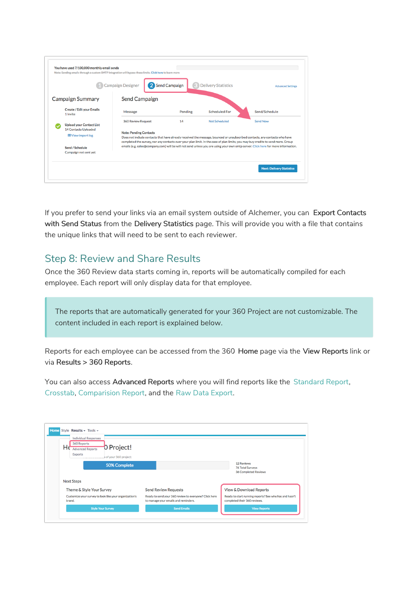|                                                                                            | Campaign Designer                                          | 2 Send Campaign | <b>Delivery Statistics</b> | <b>Advanced Settings</b>                                                                                                                                                                                                                                                         |
|--------------------------------------------------------------------------------------------|------------------------------------------------------------|-----------------|----------------------------|----------------------------------------------------------------------------------------------------------------------------------------------------------------------------------------------------------------------------------------------------------------------------------|
| <b>Campaign Summary</b>                                                                    | <b>Send Campaign</b>                                       |                 |                            |                                                                                                                                                                                                                                                                                  |
| <b>Create / Edit your Emails</b><br>1 Invite                                               | Message                                                    | Pending         | <b>Scheduled For</b>       | Send/Schedule                                                                                                                                                                                                                                                                    |
| <b>Upload your Contact List</b><br><b>14 Contacts Uploaded</b><br><b>EDView import log</b> | <b>360 Review Request</b><br><b>Note: Pending Contacts</b> | 14              | Not Scheduled              | <b>Send Now</b><br>Does not include contacts that have already received the message, bounced or unsubscribed contacts, any contacts who have<br>completed the survey, nor any contacts over your plan limit. In the case of plan limits, you may buy credits to send more. Group |
| Send / Schedule<br>Campaign not sent yet                                                   |                                                            |                 |                            | emails (e.g. sales@company.com) will be will not send unless you are using your own smtp server. Click here for more information.                                                                                                                                                |

If you prefer to send your links via an email system outside of Alchemer, you can Export Contacts with Send Status from the Delivery Statistics page. This will provide you with a file that contains the unique links that will need to be sent to each reviewer.

## Step 8: Review and Share Results

Once the 360 Review data starts coming in, reports will be automatically compiled for each employee. Each report will only display data for that employee.

The reports that are automatically generated for your 360 Project are not customizable. The content included in each report is explained below.

Reports for each employee can be accessed from the 360 Home page via the View Reports link or via Results > 360 Reports.

You can also access Advanced Reports where you will find reports like the Standard Report, Crosstab, Comparision Report, and the Raw Data Export.

| <b>Individual Responses</b><br>360 Reports<br>Hέ<br>0 Project!<br><b>Advanced Reports</b><br><b>Exports</b><br>of your 360 project: |                                                                                               |                                                                                        |
|-------------------------------------------------------------------------------------------------------------------------------------|-----------------------------------------------------------------------------------------------|----------------------------------------------------------------------------------------|
| 50% Complete                                                                                                                        |                                                                                               | <b>12 Reviews</b><br><b>76 Total Surveys</b><br><b>36 Completed Reviews</b>            |
| <b>Next Steps</b>                                                                                                                   |                                                                                               |                                                                                        |
| Theme & Style Your Survey                                                                                                           | <b>Send Review Requests</b>                                                                   | <b>View &amp; Download Reports</b>                                                     |
| Customize your survey to look like your organization's<br>brand.                                                                    | Ready to send your 360 review to everyone? Click here<br>to manage your emails and reminders. | Ready to start running reports? See who has and hasn't<br>completed their 360 reviews. |
| <b>Style Your Survey</b>                                                                                                            | <b>Send Emails</b>                                                                            | <b>View Reports</b>                                                                    |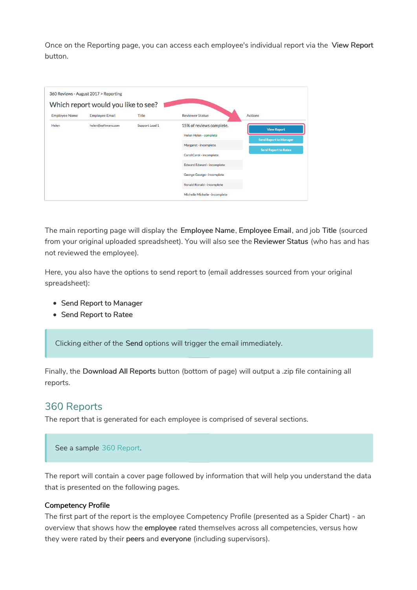Once on the Reporting page, you can access each employee's individual report via the View Report button.

|                      | 360 Reviews - August 2017 > Reporting<br>Which report would you like to see? |                |                                |                               |
|----------------------|------------------------------------------------------------------------------|----------------|--------------------------------|-------------------------------|
| <b>Employee Name</b> | <b>Employee Email</b>                                                        | <b>Title</b>   | <b>Reviewer Status</b>         | <b>Actions</b>                |
| Helen                | helen@software.com                                                           | Support Lead 1 | 15% of reviews complete.       | <b>View Report</b>            |
|                      |                                                                              |                | Helen Helen - complete         | <b>Send Report to Manager</b> |
|                      |                                                                              |                | Margaret - incomplete          |                               |
|                      |                                                                              |                | Carol Carol - incomplete       | <b>Send Report to Ratee</b>   |
|                      |                                                                              |                | Edward Edward - incomplete     |                               |
|                      |                                                                              |                | George George - incomplete     |                               |
|                      |                                                                              |                | Ronald Ronald - incomplete     |                               |
|                      |                                                                              |                | Michelle Michelle - incomplete |                               |

The main reporting page will display the Employee Name, Employee Email, and job Title (sourced from your original uploaded spreadsheet). You will also see the Reviewer Status (who has and has not reviewed the employee).

Here, you also have the options to send report to (email addresses sourced from your original spreadsheet):

- Send Report to Manager
- Send Report to Ratee

Clicking either of the Send options will trigger the email immediately.

Finally, the Download All Reports button (bottom of page) will output a .zip file containing all reports.

## 360 Reports

The report that is generated for each employee is comprised of several sections.

See a sample 360 Report.

The report will contain a cover page followed by information that will help you understand the data that is presented on the following pages.

#### Competency Profile

The first part of the report is the employee Competency Profile (presented as a Spider Chart) - an overview that shows how the employee rated themselves across all competencies, versus how they were rated by their peers and everyone (including supervisors).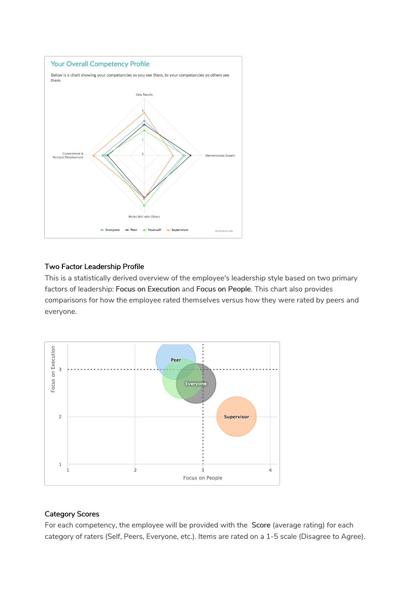

## Two Factor Leadership Profile

This is a statistically derived overview of the employee's leadership style based on two primary factors of leadership: Focus on Execution and Focus on People. This chart also provides comparisons for how the employee rated themselves versus how they were rated by peers and everyone.



## Category Scores

For each competency, the employee will be provided with the Score (average rating) for each category of raters (Self, Peers, Everyone, etc.). Items are rated on a 1-5 scale (Disagree to Agree).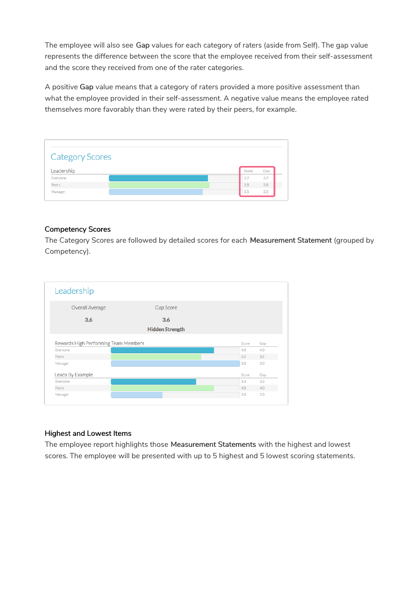The employee will also see Gap values for each category of raters (aside from Self). The gap value represents the difference between the score that the employee received from their self-assessment and the score they received from one of the rater categories.

A positive Gap value means that a category of raters provided a more positive assessment than what the employee provided in their self-assessment. A negative value means the employee rated themselves more favorably than they were rated by their peers, for example.

| <b>Category Scores</b> |              |
|------------------------|--------------|
| Leadership             | Gap<br>Score |
| Everyone               | 3.7<br>3.7   |
|                        | 3.8<br>3.8   |
| Peers                  |              |

## Competency Scores

The Category Scores are followed by detailed scores for each Measurement Statement (grouped by Competency).

| <b>Overall Average</b>                                    | Gap Score              |            |            |
|-----------------------------------------------------------|------------------------|------------|------------|
| 3.6                                                       | 3.6                    |            |            |
|                                                           | <b>Hidden Strength</b> |            |            |
|                                                           |                        |            |            |
|                                                           |                        | Score      | Gap        |
|                                                           |                        | 4.0<br>3.5 | 4.0<br>3.5 |
| Peers                                                     |                        | 5.0        | 5.0        |
| Everyone<br>Manager<br>Leads By Example                   |                        | Score      | Gap        |
|                                                           |                        | 3.3        | 3.3        |
| Rewards High Performing Team Members<br>Everyone<br>Peers |                        | 4.0        | 4.0        |

## Highest and Lowest Items

The employee report highlights those Measurement Statements with the highest and lowest scores. The employee will be presented with up to 5 highest and 5 lowest scoring statements.